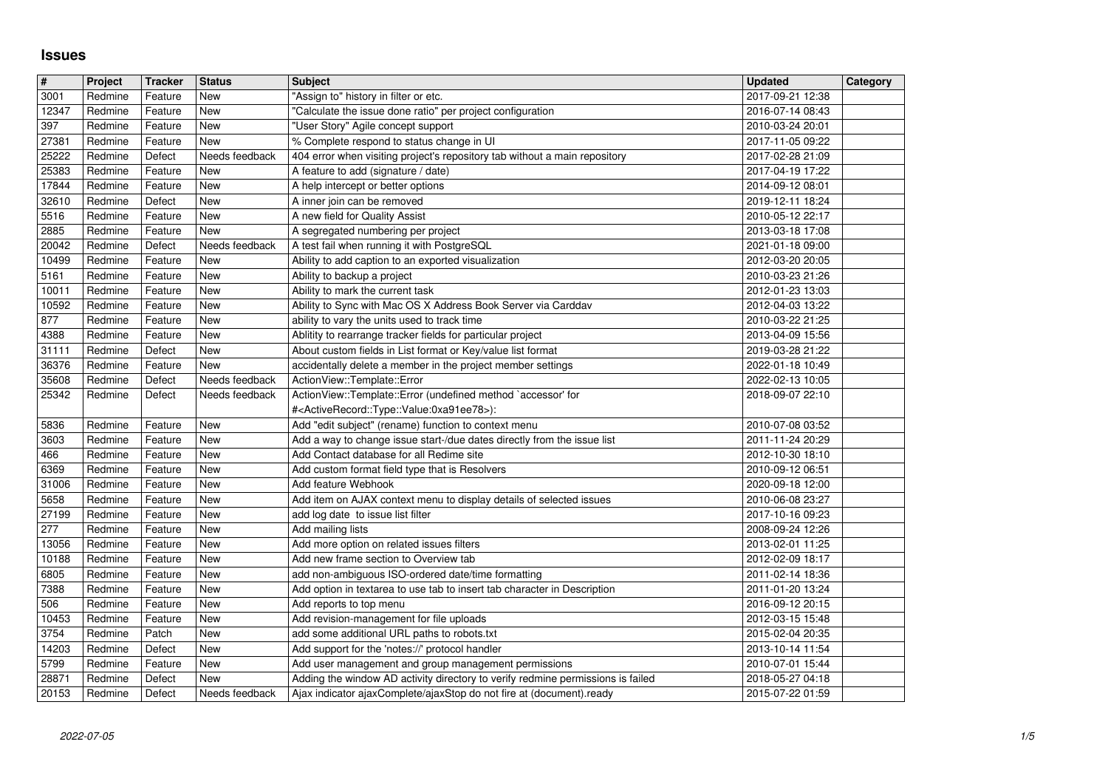## **Issues**

| $\overline{\mathbf{H}}$ | Project            | <b>Tracker</b>     | <b>Status</b>                | <b>Subject</b>                                                                                                                                          | <b>Updated</b>                       | Category |
|-------------------------|--------------------|--------------------|------------------------------|---------------------------------------------------------------------------------------------------------------------------------------------------------|--------------------------------------|----------|
| 3001<br>12347           | Redmine<br>Redmine | Feature<br>Feature | <b>New</b><br><b>New</b>     | 'Assign to" history in filter or etc.<br>"Calculate the issue done ratio" per project configuration                                                     | 2017-09-21 12:38<br>2016-07-14 08:43 |          |
| 397                     | Redmine            | Feature            | <b>New</b>                   | "User Story" Agile concept support                                                                                                                      | 2010-03-24 20:01                     |          |
| 27381                   | Redmine            | Feature            | New                          | % Complete respond to status change in UI                                                                                                               | 2017-11-05 09:22                     |          |
| 25222<br>25383          | Redmine<br>Redmine | Defect<br>Feature  | Needs feedback<br>New        | 404 error when visiting project's repository tab without a main repository<br>A feature to add (signature / date)                                       | 2017-02-28 21:09<br>2017-04-19 17:22 |          |
| 17844                   | Redmine            | Feature            | New                          | A help intercept or better options                                                                                                                      | 2014-09-12 08:01                     |          |
| 32610<br>5516           | Redmine<br>Redmine | Defect<br>Feature  | New<br>New                   | A inner join can be removed<br>A new field for Quality Assist                                                                                           | 2019-12-11 18:24<br>2010-05-12 22:17 |          |
| 2885                    | Redmine            | Feature            | New                          | A segregated numbering per project                                                                                                                      | 2013-03-18 17:08                     |          |
| 20042                   | Redmine            | Defect             | Needs feedback               | A test fail when running it with PostgreSQL                                                                                                             | 2021-01-18 09:00                     |          |
| 10499<br>5161           | Redmine<br>Redmine | Feature<br>Feature | <b>New</b><br>New            | Ability to add caption to an exported visualization<br>Ability to backup a project                                                                      | 2012-03-20 20:05<br>2010-03-23 21:26 |          |
| 10011                   | Redmine            | Feature            | <b>New</b>                   | Ability to mark the current task                                                                                                                        | 2012-01-23 13:03                     |          |
| 10592                   | Redmine            | Feature            | <b>New</b>                   | Ability to Sync with Mac OS X Address Book Server via Carddav                                                                                           | 2012-04-03 13:22                     |          |
| 877<br>4388             | Redmine<br>Redmine | Feature<br>Feature | New<br>New                   | ability to vary the units used to track time<br>Ablitity to rearrange tracker fields for particular project                                             | 2010-03-22 21:25<br>2013-04-09 15:56 |          |
| 31111                   | Redmine            | Defect             | New                          | About custom fields in List format or Key/value list format                                                                                             | 2019-03-28 21:22                     |          |
| 36376<br>35608          | Redmine<br>Redmine | Feature<br>Defect  | New<br>Needs feedback        | accidentally delete a member in the project member settings<br>ActionView::Template::Error                                                              | 2022-01-18 10:49<br>2022-02-13 10:05 |          |
| 25342                   | Redmine            | Defect             | Needs feedback               | ActionView::Template::Error (undefined method `accessor' for                                                                                            | 2018-09-07 22:10                     |          |
|                         |                    |                    | <b>New</b>                   | # <activerecord::type::value:0xa91ee78>):</activerecord::type::value:0xa91ee78>                                                                         | 2010-07-08 03:52                     |          |
| 5836<br>3603            | Redmine<br>Redmine | Feature<br>Feature | <b>New</b>                   | Add "edit subject" (rename) function to context menu<br>Add a way to change issue start-/due dates directly from the issue list                         | 2011-11-24 20:29                     |          |
| 466                     | Redmine            | Feature            | <b>New</b>                   | Add Contact database for all Redime site                                                                                                                | 2012-10-30 18:10                     |          |
| 6369<br>31006           | Redmine<br>Redmine | Feature<br>Feature | <b>New</b><br><b>New</b>     | Add custom format field type that is Resolvers<br>Add feature Webhook                                                                                   | 2010-09-12 06:51<br>2020-09-18 12:00 |          |
| 5658                    | Redmine            | Feature            | New                          | Add item on AJAX context menu to display details of selected issues                                                                                     | 2010-06-08 23:27                     |          |
| 27199                   | Redmine            | Feature            | <b>New</b>                   | add log date to issue list filter                                                                                                                       | 2017-10-16 09:23                     |          |
| 277<br>13056            | Redmine<br>Redmine | Feature<br>Feature | <b>New</b><br>New            | Add mailing lists<br>Add more option on related issues filters                                                                                          | 2008-09-24 12:26<br>2013-02-01 11:25 |          |
| 10188                   | Redmine            | Feature            | <b>New</b>                   | Add new frame section to Overview tab                                                                                                                   | 2012-02-09 18:17                     |          |
| 6805<br>7388            | Redmine<br>Redmine | Feature<br>Feature | New<br>New                   | add non-ambiguous ISO-ordered date/time formatting<br>Add option in textarea to use tab to insert tab character in Description                          | 2011-02-14 18:36<br>2011-01-20 13:24 |          |
| 506                     | Redmine            | Feature            | <b>New</b>                   | Add reports to top menu                                                                                                                                 | 2016-09-12 20:15                     |          |
| 10453                   | Redmine            | Feature            | <b>New</b>                   | Add revision-management for file uploads                                                                                                                | 2012-03-15 15:48                     |          |
| 3754<br>14203           | Redmine<br>Redmine | Patch<br>Defect    | <b>New</b><br><b>New</b>     | add some additional URL paths to robots.txt<br>Add support for the 'notes://' protocol handler                                                          | 2015-02-04 20:35<br>2013-10-14 11:54 |          |
| 5799                    | Redmine            | Feature            | New                          | Add user management and group management permissions                                                                                                    | 2010-07-01 15:44                     |          |
| 28871<br>20153          | Redmine<br>Redmine | Defect<br>Defect   | <b>New</b><br>Needs feedback | Adding the window AD activity directory to verify redmine permissions is failed<br>Ajax indicator ajaxComplete/ajaxStop do not fire at (document).ready | 2018-05-27 04:18<br>2015-07-22 01:59 |          |
|                         |                    |                    |                              |                                                                                                                                                         |                                      |          |
|                         |                    |                    |                              |                                                                                                                                                         |                                      |          |
|                         |                    |                    |                              |                                                                                                                                                         |                                      |          |
|                         |                    |                    |                              |                                                                                                                                                         |                                      |          |
|                         |                    |                    |                              |                                                                                                                                                         |                                      |          |
|                         |                    |                    |                              |                                                                                                                                                         |                                      |          |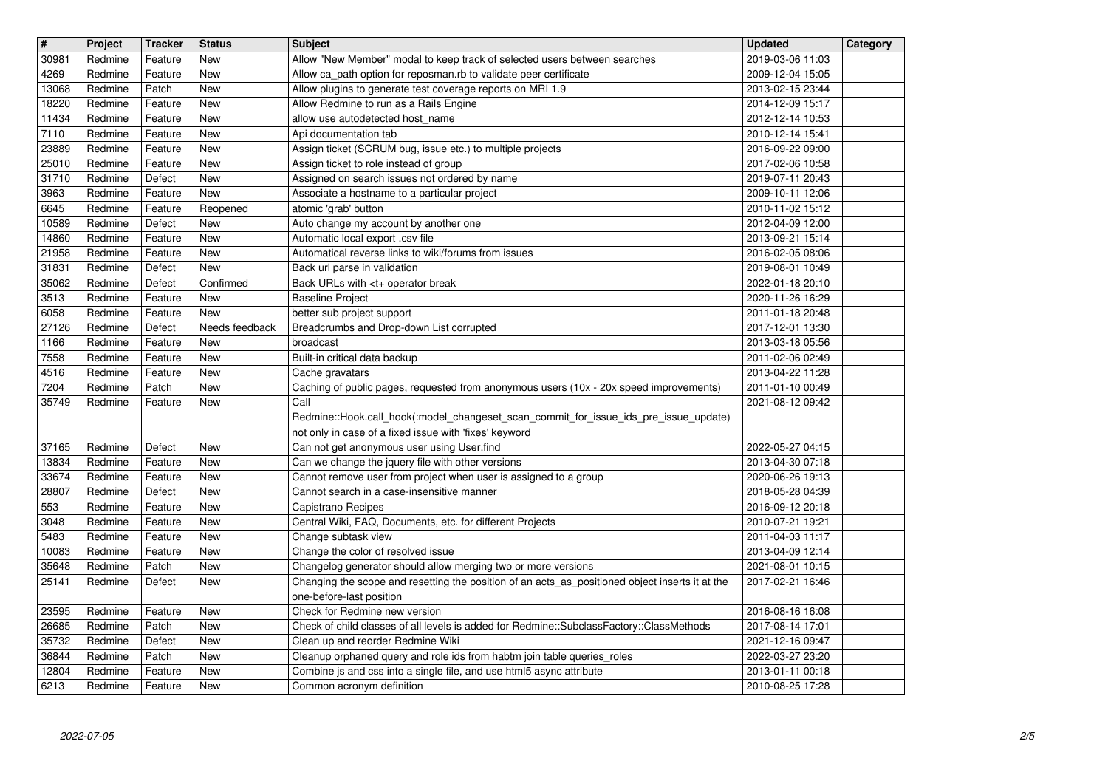| $\overline{\mathbf{H}}$ | Project            | <b>Tracker</b>     | <b>Status</b>            | <b>Subject</b>                                                                                            | <b>Updated</b>                       | Category |
|-------------------------|--------------------|--------------------|--------------------------|-----------------------------------------------------------------------------------------------------------|--------------------------------------|----------|
| 30981                   | Redmine            | Feature            | <b>New</b>               | Allow "New Member" modal to keep track of selected users between searches                                 | 2019-03-06 11:03                     |          |
| 4269                    | Redmine            | Feature            | New<br><b>New</b>        | Allow ca_path option for reposman.rb to validate peer certificate                                         | 2009-12-04 15:05                     |          |
| 13068<br>18220          | Redmine<br>Redmine | Patch<br>Feature   | <b>New</b>               | Allow plugins to generate test coverage reports on MRI 1.9<br>Allow Redmine to run as a Rails Engine      | 2013-02-15 23:44<br>2014-12-09 15:17 |          |
| 11434                   | Redmine            | Feature            | <b>New</b>               | allow use autodetected host_name                                                                          | 2012-12-14 10:53                     |          |
| 7110                    | Redmine            | Feature            | <b>New</b>               | Api documentation tab                                                                                     | 2010-12-14 15:41                     |          |
| 23889<br>25010          | Redmine<br>Redmine | Feature<br>Feature | <b>New</b><br>New        | Assign ticket (SCRUM bug, issue etc.) to multiple projects<br>Assign ticket to role instead of group      | 2016-09-22 09:00<br>2017-02-06 10:58 |          |
| 31710                   | Redmine            | Defect             | New                      | Assigned on search issues not ordered by name                                                             | 2019-07-11 20:43                     |          |
| 3963                    | Redmine            | Feature            | New                      | Associate a hostname to a particular project                                                              | 2009-10-11 12:06                     |          |
| 6645                    | Redmine            | Feature            | Reopened                 | atomic 'grab' button                                                                                      | 2010-11-02 15:12                     |          |
| 10589                   | Redmine            | Defect             | <b>New</b>               | Auto change my account by another one                                                                     | 2012-04-09 12:00                     |          |
| 14860<br>21958          | Redmine<br>Redmine | Feature<br>Feature | <b>New</b><br>New        | Automatic local export .csv file<br>Automatical reverse links to wiki/forums from issues                  | 2013-09-21 15:14<br>2016-02-05 08:06 |          |
| 31831                   | Redmine            | Defect             | <b>New</b>               | Back url parse in validation                                                                              | 2019-08-01 10:49                     |          |
| 35062                   | Redmine            | Defect             | Confirmed                | Back URLs with <t+ break<="" operator="" td=""><td>2022-01-18 20:10</td><td></td></t+>                    | 2022-01-18 20:10                     |          |
| 3513<br>6058            | Redmine<br>Redmine | Feature<br>Feature | New<br>New               | <b>Baseline Project</b><br>better sub project support                                                     | 2020-11-26 16:29<br>2011-01-18 20:48 |          |
| 27126                   | Redmine            | Defect             | Needs feedback           | Breadcrumbs and Drop-down List corrupted                                                                  | 2017-12-01 13:30                     |          |
| 1166                    | Redmine            | Feature            | New                      | broadcast                                                                                                 | 2013-03-18 05:56                     |          |
| 7558                    | Redmine            | Feature            | <b>New</b>               | Built-in critical data backup                                                                             | 2011-02-06 02:49                     |          |
| 4516<br>7204            | Redmine<br>Redmine | Feature<br>Patch   | <b>New</b><br>New        | Cache gravatars<br>Caching of public pages, requested from anonymous users (10x - 20x speed improvements) | 2013-04-22 11:28<br>2011-01-10 00:49 |          |
| 35749                   | Redmine            | Feature            | New                      | Call                                                                                                      | 2021-08-12 09:42                     |          |
|                         |                    |                    |                          | Redmine::Hook.call_hook(:model_changeset_scan_commit_for_issue_ids_pre_issue_update)                      |                                      |          |
|                         |                    |                    |                          | not only in case of a fixed issue with 'fixes' keyword                                                    |                                      |          |
| 37165<br>13834          | Redmine<br>Redmine | Defect<br>Feature  | <b>New</b><br>New        | Can not get anonymous user using User.find<br>Can we change the jquery file with other versions           | 2022-05-27 04:15<br>2013-04-30 07:18 |          |
| 33674                   | Redmine            | Feature            | New                      | Cannot remove user from project when user is assigned to a group                                          | 2020-06-26 19:13                     |          |
| 28807                   | Redmine            | Defect             | <b>New</b>               | Cannot search in a case-insensitive manner                                                                | 2018-05-28 04:39                     |          |
| 553                     | Redmine            | Feature            | <b>New</b>               | Capistrano Recipes                                                                                        | 2016-09-12 20:18                     |          |
| 3048<br>5483            | Redmine<br>Redmine | Feature<br>Feature | <b>New</b><br><b>New</b> | Central Wiki, FAQ, Documents, etc. for different Projects<br>Change subtask view                          | 2010-07-21 19:21<br>2011-04-03 11:17 |          |
| 10083                   | Redmine            | Feature            | <b>New</b>               | Change the color of resolved issue                                                                        | 2013-04-09 12:14                     |          |
| 35648                   | Redmine            | Patch              | New                      | Changelog generator should allow merging two or more versions                                             | 2021-08-01 10:15                     |          |
| 25141                   | Redmine            | Defect             | New                      | Changing the scope and resetting the position of an acts_as_positioned object inserts it at the           | 2017-02-21 16:46                     |          |
|                         | Redmine            |                    |                          | one-before-last position<br>Check for Redmine new version                                                 |                                      |          |
| 23595<br>26685          | Redmine            | Feature<br>Patch   | New<br><b>New</b>        | Check of child classes of all levels is added for Redmine::SubclassFactory::ClassMethods                  | 2016-08-16 16:08<br>2017-08-14 17:01 |          |
| 35732                   | Redmine            | Defect             | New                      | Clean up and reorder Redmine Wiki                                                                         | 2021-12-16 09:47                     |          |
| 36844                   | Redmine            | Patch              | New                      | Cleanup orphaned query and role ids from habtm join table queries_roles                                   | 2022-03-27 23:20                     |          |
| 12804<br>6213           | Redmine<br>Redmine | Feature<br>Feature | New<br>New               | Combine js and css into a single file, and use html5 async attribute<br>Common acronym definition         | 2013-01-11 00:18<br>2010-08-25 17:28 |          |
|                         |                    |                    |                          |                                                                                                           |                                      |          |
|                         |                    |                    |                          |                                                                                                           |                                      |          |
|                         |                    |                    |                          |                                                                                                           |                                      |          |
|                         |                    |                    |                          |                                                                                                           |                                      |          |
|                         |                    |                    |                          |                                                                                                           |                                      |          |
|                         |                    |                    |                          |                                                                                                           |                                      |          |
|                         |                    |                    |                          |                                                                                                           |                                      |          |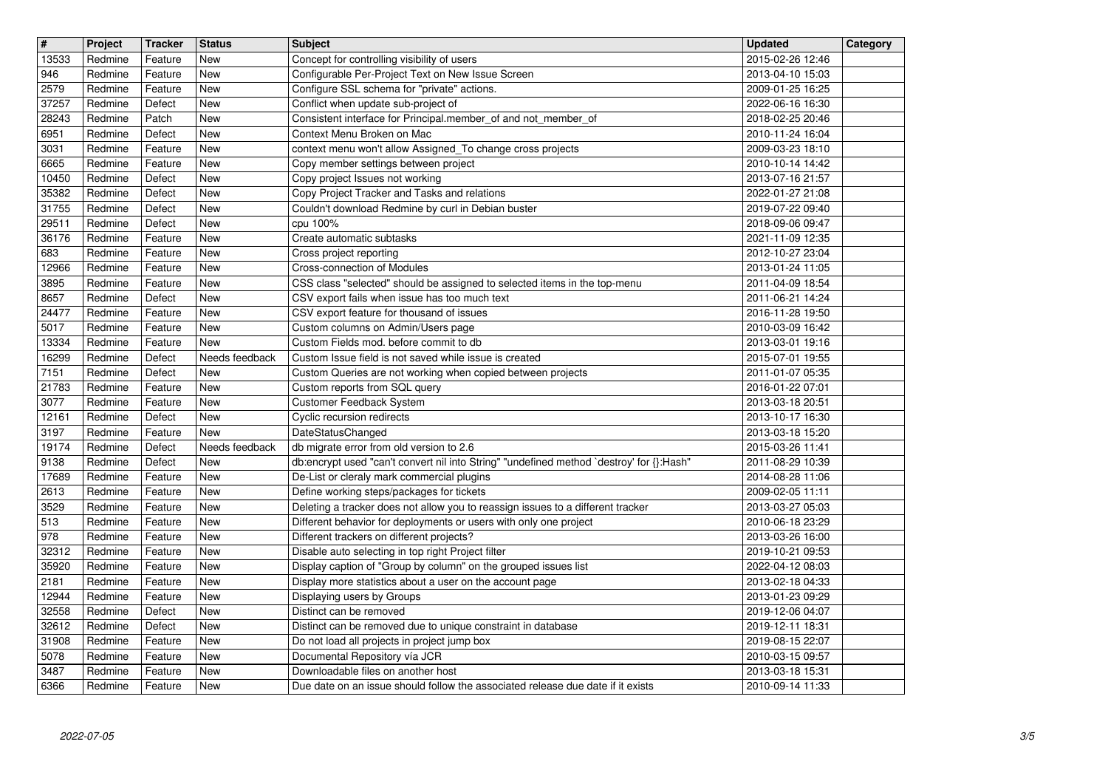| $\overline{\mathbf{H}}$ | Project            | <b>Tracker</b>     | <b>Status</b>            | <b>Subject</b>                                                                                                                         | <b>Updated</b>                       | Category |
|-------------------------|--------------------|--------------------|--------------------------|----------------------------------------------------------------------------------------------------------------------------------------|--------------------------------------|----------|
| 13533<br>946            | Redmine<br>Redmine | Feature<br>Feature | New<br>New               | Concept for controlling visibility of users<br>Configurable Per-Project Text on New Issue Screen                                       | 2015-02-26 12:46<br>2013-04-10 15:03 |          |
| 2579                    | Redmine            | Feature            | <b>New</b>               | Configure SSL schema for "private" actions.                                                                                            | 2009-01-25 16:25                     |          |
| 37257<br>28243          | Redmine<br>Redmine | Defect<br>Patch    | New<br>New               | Conflict when update sub-project of<br>Consistent interface for Principal.member_of and not_member_of                                  | 2022-06-16 16:30<br>2018-02-25 20:46 |          |
| 6951                    | Redmine            | Defect             | <b>New</b>               | Context Menu Broken on Mac                                                                                                             | 2010-11-24 16:04                     |          |
| 3031<br>6665            | Redmine<br>Redmine | Feature<br>Feature | New<br>New               | context menu won't allow Assigned_To change cross projects<br>Copy member settings between project                                     | 2009-03-23 18:10<br>2010-10-14 14:42 |          |
| 10450                   | Redmine            | Defect             | New                      | Copy project Issues not working                                                                                                        | 2013-07-16 21:57                     |          |
| 35382<br>31755          | Redmine<br>Redmine | Defect<br>Defect   | <b>New</b><br><b>New</b> | Copy Project Tracker and Tasks and relations<br>Couldn't download Redmine by curl in Debian buster                                     | 2022-01-27 21:08<br>2019-07-22 09:40 |          |
| 29511                   | Redmine            | Defect             | New                      | cpu 100%                                                                                                                               | 2018-09-06 09:47                     |          |
| 36176<br>683            | Redmine<br>Redmine | Feature<br>Feature | New<br>New               | Create automatic subtasks<br>Cross project reporting                                                                                   | 2021-11-09 12:35<br>2012-10-27 23:04 |          |
| 12966                   | Redmine            | Feature            | New                      | Cross-connection of Modules                                                                                                            | 2013-01-24 11:05                     |          |
| 3895<br>8657            | Redmine<br>Redmine | Feature<br>Defect  | New<br>New               | CSS class "selected" should be assigned to selected items in the top-menu<br>CSV export fails when issue has too much text             | 2011-04-09 18:54<br>2011-06-21 14:24 |          |
| 24477                   | Redmine            | Feature            | New                      | CSV export feature for thousand of issues                                                                                              | 2016-11-28 19:50                     |          |
| 5017<br>13334           | Redmine<br>Redmine | Feature<br>Feature | New<br>New               | Custom columns on Admin/Users page<br>Custom Fields mod. before commit to db                                                           | 2010-03-09 16:42<br>2013-03-01 19:16 |          |
| 16299                   | Redmine            | Defect             | Needs feedback           | Custom Issue field is not saved while issue is created                                                                                 | 2015-07-01 19:55                     |          |
| 7151<br>21783           | Redmine<br>Redmine | Defect<br>Feature  | New<br><b>New</b>        | Custom Queries are not working when copied between projects<br>Custom reports from SQL query                                           | 2011-01-07 05:35<br>2016-01-22 07:01 |          |
| 3077                    | Redmine            | Feature            | New                      | Customer Feedback System                                                                                                               | 2013-03-18 20:51                     |          |
| 12161<br>3197           | Redmine<br>Redmine | Defect<br>Feature  | New<br>New               | Cyclic recursion redirects<br>DateStatusChanged                                                                                        | 2013-10-17 16:30<br>2013-03-18 15:20 |          |
| 19174                   | Redmine            | Defect             | Needs feedback           | db migrate error from old version to 2.6                                                                                               | 2015-03-26 11:41                     |          |
| 9138<br>17689           | Redmine<br>Redmine | Defect<br>Feature  | New<br>New               | db:encrypt used "can't convert nil into String" "undefined method `destroy' for {}:Hash"<br>De-List or cleraly mark commercial plugins | 2011-08-29 10:39<br>2014-08-28 11:06 |          |
| 2613                    | Redmine            | Feature            | New                      | Define working steps/packages for tickets                                                                                              | 2009-02-05 11:11                     |          |
| 3529                    | Redmine            | Feature            | New                      | Deleting a tracker does not allow you to reassign issues to a different tracker                                                        | 2013-03-27 05:03                     |          |
| 513<br>978              | Redmine<br>Redmine | Feature<br>Feature | New<br>New               | Different behavior for deployments or users with only one project<br>Different trackers on different projects?                         | 2010-06-18 23:29<br>2013-03-26 16:00 |          |
| 32312                   | Redmine            | Feature            | New                      | Disable auto selecting in top right Project filter                                                                                     | 2019-10-21 09:53                     |          |
| 35920<br>2181           | Redmine<br>Redmine | Feature<br>Feature | New<br><b>New</b>        | Display caption of "Group by column" on the grouped issues list<br>Display more statistics about a user on the account page            | 2022-04-12 08:03<br>2013-02-18 04:33 |          |
| 12944                   | Redmine            | Feature            | New                      | Displaying users by Groups                                                                                                             | 2013-01-23 09:29                     |          |
| 32558<br>32612          | Redmine<br>Redmine | Defect<br>Defect   | New<br>New               | Distinct can be removed<br>Distinct can be removed due to unique constraint in database                                                | 2019-12-06 04:07<br>2019-12-11 18:31 |          |
| 31908                   | Redmine            | Feature            | New                      | Do not load all projects in project jump box                                                                                           | 2019-08-15 22:07                     |          |
| 5078<br>3487            | Redmine<br>Redmine | Feature<br>Feature | New<br><b>New</b>        | Documental Repository vía JCR<br>Downloadable files on another host                                                                    | 2010-03-15 09:57<br>2013-03-18 15:31 |          |
| 6366                    | Redmine            | Feature            | New                      | Due date on an issue should follow the associated release due date if it exists                                                        | 2010-09-14 11:33                     |          |
|                         |                    |                    |                          |                                                                                                                                        |                                      |          |
|                         |                    |                    |                          |                                                                                                                                        |                                      |          |
|                         |                    |                    |                          |                                                                                                                                        |                                      |          |
|                         |                    |                    |                          |                                                                                                                                        |                                      |          |
|                         |                    |                    |                          |                                                                                                                                        |                                      |          |
|                         |                    |                    |                          |                                                                                                                                        |                                      |          |
|                         |                    |                    |                          |                                                                                                                                        |                                      |          |
|                         |                    |                    |                          |                                                                                                                                        |                                      |          |
|                         |                    |                    |                          |                                                                                                                                        |                                      |          |
|                         |                    |                    |                          |                                                                                                                                        |                                      |          |
|                         |                    |                    |                          |                                                                                                                                        |                                      |          |
|                         |                    |                    |                          |                                                                                                                                        |                                      |          |
|                         |                    |                    |                          |                                                                                                                                        |                                      |          |
|                         |                    |                    |                          |                                                                                                                                        |                                      |          |
|                         |                    |                    |                          |                                                                                                                                        |                                      |          |
|                         |                    |                    |                          |                                                                                                                                        |                                      |          |
|                         |                    |                    |                          |                                                                                                                                        |                                      |          |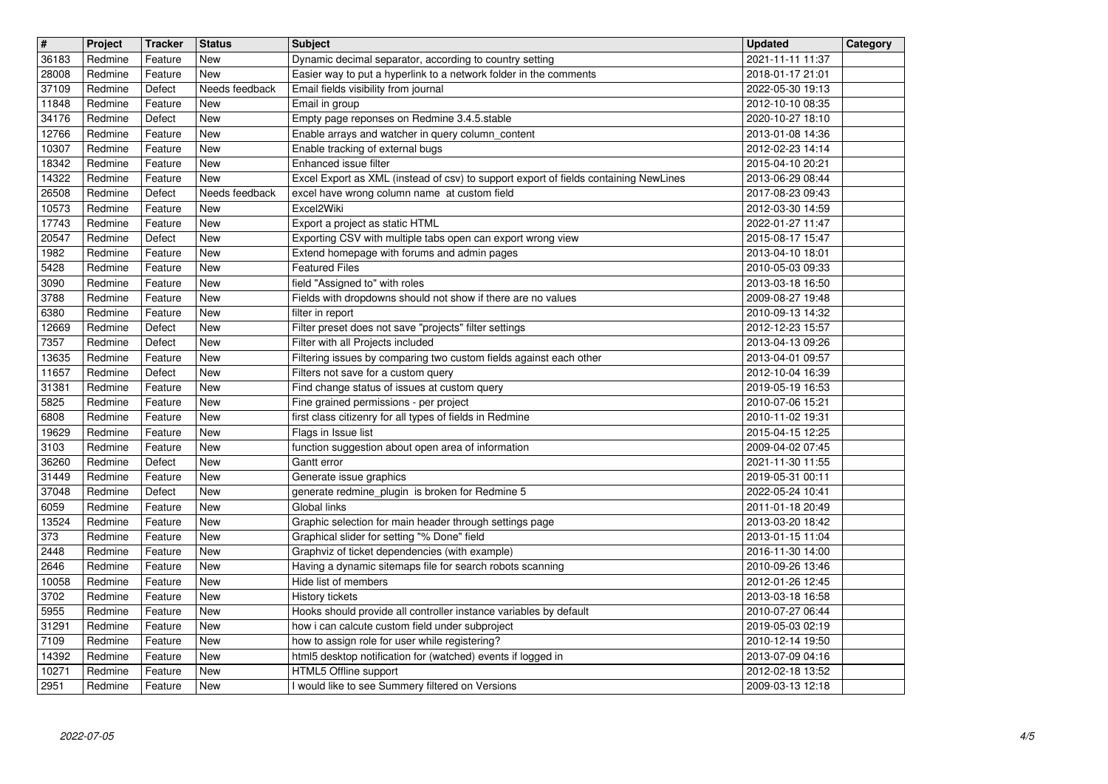| $\overline{\mathbf{H}}$ | Project            | <b>Tracker</b>     | <b>Status</b>            | <b>Subject</b>                                                                                                               | <b>Updated</b>                       | Category |
|-------------------------|--------------------|--------------------|--------------------------|------------------------------------------------------------------------------------------------------------------------------|--------------------------------------|----------|
| 36183<br>28008          | Redmine<br>Redmine | Feature<br>Feature | New<br><b>New</b>        | Dynamic decimal separator, according to country setting<br>Easier way to put a hyperlink to a network folder in the comments | 2021-11-11 11:37<br>2018-01-17 21:01 |          |
| 37109                   | Redmine            | Defect             | Needs feedback           | Email fields visibility from journal                                                                                         | 2022-05-30 19:13                     |          |
| 11848<br>34176          | Redmine<br>Redmine | Feature<br>Defect  | New<br>New               | Email in group<br>Empty page reponses on Redmine 3.4.5.stable                                                                | 2012-10-10 08:35<br>2020-10-27 18:10 |          |
| 12766                   | Redmine            | Feature            | New                      | Enable arrays and watcher in query column_content                                                                            | 2013-01-08 14:36                     |          |
| 10307                   | Redmine            | Feature            | New                      | Enable tracking of external bugs                                                                                             | 2012-02-23 14:14                     |          |
| 18342<br>14322          | Redmine<br>Redmine | Feature<br>Feature | New<br><b>New</b>        | Enhanced issue filter<br>Excel Export as XML (instead of csv) to support export of fields containing NewLines                | 2015-04-10 20:21<br>2013-06-29 08:44 |          |
| 26508                   | Redmine            | Defect             | Needs feedback           | excel have wrong column name at custom field                                                                                 | 2017-08-23 09:43                     |          |
| 10573<br>17743          | Redmine<br>Redmine | Feature<br>Feature | New<br>New               | Excel2Wiki<br>Export a project as static HTML                                                                                | 2012-03-30 14:59<br>2022-01-27 11:47 |          |
| 20547                   | Redmine            | Defect             | New                      | Exporting CSV with multiple tabs open can export wrong view                                                                  | 2015-08-17 15:47                     |          |
| 1982<br>5428            | Redmine<br>Redmine | Feature<br>Feature | New<br>New               | Extend homepage with forums and admin pages<br><b>Featured Files</b>                                                         | 2013-04-10 18:01<br>2010-05-03 09:33 |          |
| 3090                    | Redmine            | Feature            | New                      | field "Assigned to" with roles                                                                                               | 2013-03-18 16:50                     |          |
| 3788<br>6380            | Redmine<br>Redmine | Feature<br>Feature | New<br><b>New</b>        | Fields with dropdowns should not show if there are no values<br>filter in report                                             | 2009-08-27 19:48<br>2010-09-13 14:32 |          |
| 12669                   | Redmine            | Defect             | <b>New</b>               | Filter preset does not save "projects" filter settings                                                                       | 2012-12-23 15:57                     |          |
| 7357<br>13635           | Redmine<br>Redmine | Defect<br>Feature  | New<br><b>New</b>        | Filter with all Projects included<br>Filtering issues by comparing two custom fields against each other                      | 2013-04-13 09:26<br>2013-04-01 09:57 |          |
| 11657                   | Redmine            | Defect             | New                      | Filters not save for a custom query                                                                                          | 2012-10-04 16:39                     |          |
| 31381                   | Redmine<br>Redmine | Feature            | New                      | Find change status of issues at custom query                                                                                 | 2019-05-19 16:53                     |          |
| 5825<br>6808            | Redmine            | Feature<br>Feature | New<br>New               | Fine grained permissions - per project<br>first class citizenry for all types of fields in Redmine                           | 2010-07-06 15:21<br>2010-11-02 19:31 |          |
| 19629                   | Redmine            | Feature            | <b>New</b>               | Flags in Issue list                                                                                                          | 2015-04-15 12:25                     |          |
| 3103<br>36260           | Redmine<br>Redmine | Feature<br>Defect  | <b>New</b><br><b>New</b> | function suggestion about open area of information<br>Gantt error                                                            | 2009-04-02 07:45<br>2021-11-30 11:55 |          |
| 31449                   | Redmine            | Feature            | <b>New</b>               | Generate issue graphics                                                                                                      | 2019-05-31 00:11                     |          |
| 37048<br>6059           | Redmine<br>Redmine | Defect<br>Feature  | New<br>New               | generate redmine_plugin is broken for Redmine 5<br>Global links                                                              | 2022-05-24 10:41<br>2011-01-18 20:49 |          |
| 13524                   | Redmine            | Feature            | New                      | Graphic selection for main header through settings page                                                                      | 2013-03-20 18:42                     |          |
| 373<br>2448             | Redmine<br>Redmine | Feature<br>Feature | New<br>New               | Graphical slider for setting "% Done" field<br>Graphviz of ticket dependencies (with example)                                | 2013-01-15 11:04<br>2016-11-30 14:00 |          |
| 2646                    | Redmine            | Feature            | <b>New</b>               | Having a dynamic sitemaps file for search robots scanning                                                                    | 2010-09-26 13:46                     |          |
| 10058<br>3702           | Redmine<br>Redmine | Feature<br>Feature | <b>New</b><br><b>New</b> | Hide list of members<br>History tickets                                                                                      | 2012-01-26 12:45<br>2013-03-18 16:58 |          |
| 5955                    | Redmine            | Feature            | New                      | Hooks should provide all controller instance variables by default                                                            | 2010-07-27 06:44                     |          |
| 31291<br>7109           | Redmine            | Feature            | New<br><b>New</b>        | how i can calcute custom field under subproject                                                                              | 2019-05-03 02:19                     |          |
| 14392                   | Redmine<br>Redmine | Feature<br>Feature | New                      | how to assign role for user while registering?<br>html5 desktop notification for (watched) events if logged in               | 2010-12-14 19:50<br>2013-07-09 04:16 |          |
| 10271<br>2951           | Redmine<br>Redmine | Feature<br>Feature | New<br>New               | HTML5 Offline support<br>I would like to see Summery filtered on Versions                                                    | 2012-02-18 13:52<br>2009-03-13 12:18 |          |
|                         |                    |                    |                          |                                                                                                                              |                                      |          |
|                         |                    |                    |                          |                                                                                                                              |                                      |          |
|                         |                    |                    |                          |                                                                                                                              |                                      |          |
|                         |                    |                    |                          |                                                                                                                              |                                      |          |
|                         |                    |                    |                          |                                                                                                                              |                                      |          |
|                         |                    |                    |                          |                                                                                                                              |                                      |          |